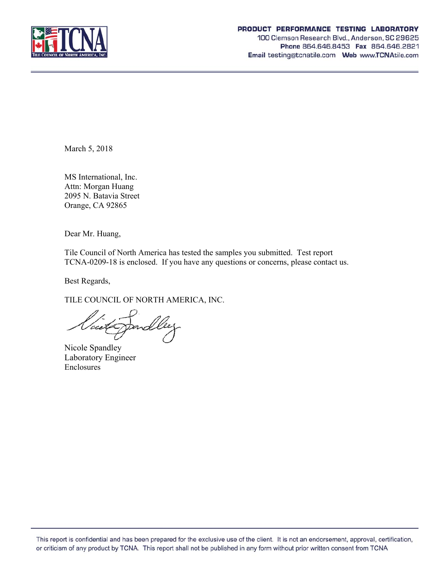

#### PRODUCT PERFORMANCE TESTING LABORATORY

100 Clemson Research Blvd., Anderson, SC 29625 Phone 864.646.8453 Fax 864.646.2821 Email testing@tcnatile.com Web www.TCNAtile.com

March 5, 2018

MS International, Inc. Attn: Morgan Huang 2095 N. Batavia Street Orange, CA 92865

Dear Mr. Huang,

Tile Council of North America has tested the samples you submitted. Test report TCNA-0209-18 is enclosed. If you have any questions or concerns, please contact us.

Best Regards,

TILE COUNCIL OF NORTH AMERICA, INC.

/cce4 rnd

Nicole Spandley Laboratory Engineer Enclosures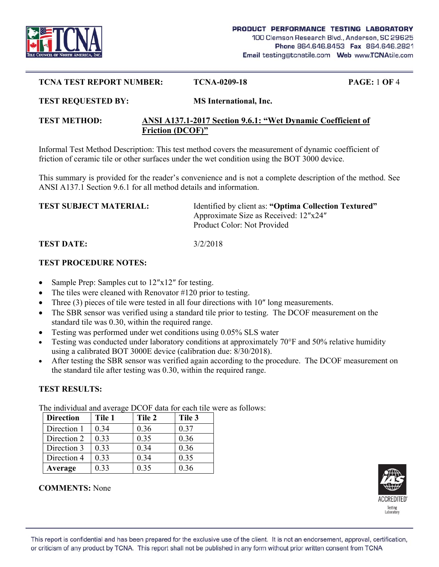

#### **TCNA TEST REPORT NUMBER: TCNA-0209-18 PAGE:** 1 **OF** 4

#### **TEST REQUESTED BY: MS International, Inc.**

### **TEST METHOD: ANSI A137.1-2017 Section 9.6.1: "Wet Dynamic Coefficient of Friction (DCOF)"**

Informal Test Method Description: This test method covers the measurement of dynamic coefficient of friction of ceramic tile or other surfaces under the wet condition using the BOT 3000 device.

This summary is provided for the reader's convenience and is not a complete description of the method. See ANSI A137.1 Section 9.6.1 for all method details and information.

| <b>TEST SUBJECT MATERIAL:</b> | Identified by client as: "Optima Collection Textured" |
|-------------------------------|-------------------------------------------------------|
|                               | Approximate Size as Received: 12"x24"                 |
|                               | Product Color: Not Provided                           |
|                               |                                                       |

**TEST DATE:** 3/2/2018

## **TEST PROCEDURE NOTES:**

- Sample Prep: Samples cut to 12″x12″ for testing.
- The tiles were cleaned with Renovator #120 prior to testing.
- Three (3) pieces of tile were tested in all four directions with 10″ long measurements.
- The SBR sensor was verified using a standard tile prior to testing. The DCOF measurement on the standard tile was 0.30, within the required range.
- Testing was performed under wet conditions using 0.05% SLS water
- Testing was conducted under laboratory conditions at approximately 70°F and 50% relative humidity using a calibrated BOT 3000E device (calibration due: 8/30/2018).
- After testing the SBR sensor was verified again according to the procedure. The DCOF measurement on the standard tile after testing was 0.30, within the required range.

# **TEST RESULTS:**

The individual and average DCOF data for each tile were as follows:

| <b>Direction</b> | Tile 1 | Tile 2 | Tile 3 |
|------------------|--------|--------|--------|
| Direction 1      | 0.34   | 0.36   | 0.37   |
| Direction 2      | 0.33   | 0.35   | 0.36   |
| Direction 3      | 0.33   | 0.34   | 0.36   |
| Direction 4      | 0.33   | 0.34   | 0.35   |
| Average          | 0.33   | 0.35   | 0.36   |



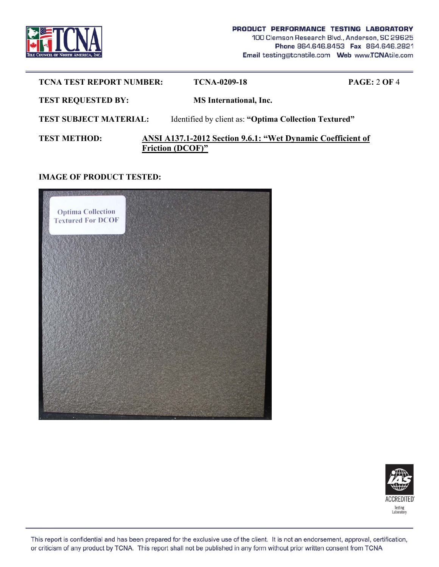

| <b>TCNA TEST REPORT NUMBER:</b> | <b>TCNA-0209-18</b>                                                                    | <b>PAGE: 2 OF 4</b>                                   |  |
|---------------------------------|----------------------------------------------------------------------------------------|-------------------------------------------------------|--|
| <b>TEST REQUESTED BY:</b>       | <b>MS</b> International, Inc.                                                          |                                                       |  |
| <b>TEST SUBJECT MATERIAL:</b>   |                                                                                        | Identified by client as: "Optima Collection Textured" |  |
| <b>TEST METHOD:</b>             | ANSI A137.1-2012 Section 9.6.1: "Wet Dynamic Coefficient of<br><b>Friction (DCOF)"</b> |                                                       |  |

## **IMAGE OF PRODUCT TESTED:**





This report is confidential and has been prepared for the exclusive use of the client. It is not an endorsement, approval, certification, or criticism of any product by TCNA. This report shall not be published in any form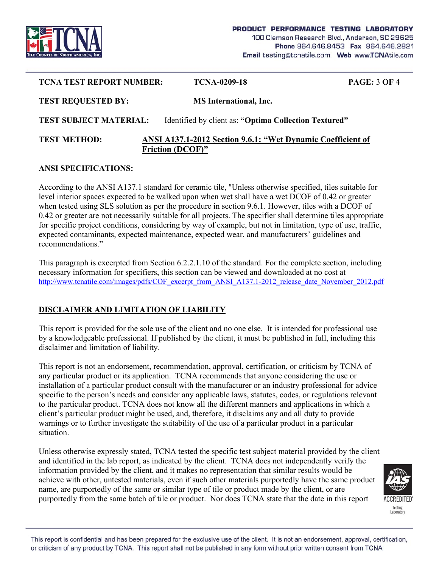

| <b>TCNA TEST REPORT NUMBER:</b> | <b>TCNA-0209-18</b>                                                                    | <b>PAGE: 3 OF 4</b> |
|---------------------------------|----------------------------------------------------------------------------------------|---------------------|
| <b>TEST REQUESTED BY:</b>       | <b>MS</b> International, Inc.                                                          |                     |
| <b>TEST SUBJECT MATERIAL:</b>   | Identified by client as: "Optima Collection Textured"                                  |                     |
| <b>TEST METHOD:</b>             | ANSI A137.1-2012 Section 9.6.1: "Wet Dynamic Coefficient of<br><b>Friction (DCOF)"</b> |                     |

### **ANSI SPECIFICATIONS:**

According to the ANSI A137.1 standard for ceramic tile, "Unless otherwise specified, tiles suitable for level interior spaces expected to be walked upon when wet shall have a wet DCOF of 0.42 or greater when tested using SLS solution as per the procedure in section 9.6.1. However, tiles with a DCOF of 0.42 or greater are not necessarily suitable for all projects. The specifier shall determine tiles appropriate for specific project conditions, considering by way of example, but not in limitation, type of use, traffic, expected contaminants, expected maintenance, expected wear, and manufacturers' guidelines and recommendations."

This paragraph is excerpted from Section 6.2.2.1.10 of the standard. For the complete section, including necessary information for specifiers, this section can be viewed and downloaded at no cost at http://www.tcnatile.com/images/pdfs/COF\_excerpt\_from\_ANSI\_A137.1-2012\_release\_date\_November\_2012.pdf

# **DISCLAIMER AND LIMITATION OF LIABILITY**

This report is provided for the sole use of the client and no one else. It is intended for professional use by a knowledgeable professional. If published by the client, it must be published in full, including this disclaimer and limitation of liability.

This report is not an endorsement, recommendation, approval, certification, or criticism by TCNA of any particular product or its application. TCNA recommends that anyone considering the use or installation of a particular product consult with the manufacturer or an industry professional for advice specific to the person's needs and consider any applicable laws, statutes, codes, or regulations relevant to the particular product. TCNA does not know all the different manners and applications in which a client's particular product might be used, and, therefore, it disclaims any and all duty to provide warnings or to further investigate the suitability of the use of a particular product in a particular situation.

Unless otherwise expressly stated, TCNA tested the specific test subject material provided by the client and identified in the lab report, as indicated by the client. TCNA does not independently verify the information provided by the client, and it makes no representation that similar results would be achieve with other, untested materials, even if such other materials purportedly have the same product name, are purportedly of the same or similar type of tile or product made by the client, or are purportedly from the same batch of tile or product. Nor does TCNA state that the date in this report



This report is confidential and has been prepared for the exclusive use of the client. It is not an endorsement, approval, certification, or criticism of any product by TCNA. This report shall not be published in any form without prior written consent from TCNA